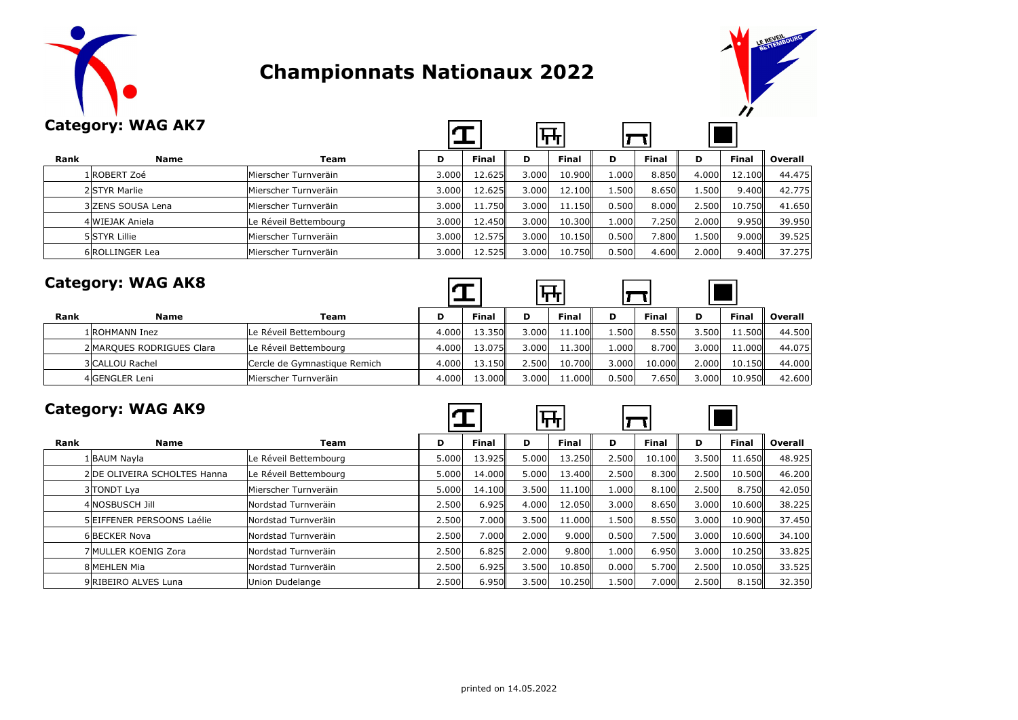

# **Championnats Nationaux 2022**



|      | <b>Category: WAG AK7</b> |                       |       |              |       | गम           |       |              |       |              |         |
|------|--------------------------|-----------------------|-------|--------------|-------|--------------|-------|--------------|-------|--------------|---------|
| Rank | <b>Name</b>              | Team                  | D     | <b>Final</b> | D     | <b>Final</b> | D     | <b>Final</b> | D     | <b>Final</b> | Overall |
|      | 1 ROBERT Zoé             | Mierscher Turnveräin  | 3.000 | 12.625       | 3.000 | 10.900       | 1.000 | 8.850        | 4.000 | 12.100       | 44.475  |
|      | 2 STYR Marlie            | Mierscher Turnveräin  | 3.000 | 12.625       | 3.000 | 12.100       | 1.500 | 8.650        | 1.500 | 9.400        | 42.775  |
|      | 3 ZENS SOUSA Lena        | Mierscher Turnveräin  | 3.000 | 11.750       | 3.000 | 11.150       | 0.500 | 8.000        | 2.500 | 10.750       | 41.650  |
|      | 4 WIEJAK Aniela          | Le Réveil Bettembourg | 3.000 | 12.450       | 3.000 | 10.300       | 1.000 | 7.250        | 2.000 | 9.950        | 39,950  |
|      | 5 STYR Lillie            | Mierscher Turnveräin  | 3.000 | 12.575       | 3.000 | 10.150       | 0.500 | 7.800        | 1.500 | 9.000        | 39.525  |
|      | 6 ROLLINGER Lea          | Mierscher Turnveräin  | 3.000 | 12.525       | 3.000 | 10.750       | 0.500 | 4.600        | 2.000 | 9.400        | 37.275  |

|      | <b>Category: WAG AK8</b>  |                              |       |              |       |              |       |        |       |              |         |
|------|---------------------------|------------------------------|-------|--------------|-------|--------------|-------|--------|-------|--------------|---------|
| Rank | <b>Name</b>               | Team                         | D     | <b>Final</b> | D     | <b>Final</b> | D     | Final  | D     | <b>Final</b> | Overall |
|      | 1 ROHMANN Inez            | Le Réveil Bettembourg        | 4.000 | 13.350       | 3.000 | 11.100       | ا500. | 8.550  | 3.500 | 11.500       | 44.500  |
|      | 2 MAROUES RODRIGUES Clara | Le Réveil Bettembourg        | 4.000 | 13.075       | 3.000 | 11.300 I     | 1.000 | 8.700  | 3.000 | 11,000       | 44.075  |
|      | 3 CALLOU Rachel           | Cercle de Gymnastique Remich | 4.000 | 13.150       | 2.500 | 10.700       | 3.000 | 10.000 | 2.000 | 10.150       | 44,000  |
|      | 4 GENGLER Leni            | Mierscher Turnveräin         | 4.000 | 13.000ll     | 3.000 | 11.000       | 0.500 | 7.650  | 3.000 | 10.950       | 42.600  |

|      | <b>Category: WAG AK9</b>     |                       |       |              |       | ┡╈           |       |              |       |              |         |
|------|------------------------------|-----------------------|-------|--------------|-------|--------------|-------|--------------|-------|--------------|---------|
| Rank | <b>Name</b>                  | Team                  | D     | <b>Final</b> | D     | <b>Final</b> | D     | <b>Final</b> | D     | <b>Final</b> | Overall |
|      | 1 BAUM Navla                 | Le Réveil Bettembourg | 5.000 | 13.925       | 5.000 | 13.250       | 2.500 | 10.100       | 3.500 | 11.650       | 48.925  |
|      | 2 DE OLIVEIRA SCHOLTES Hanna | Le Réveil Bettembourg | 5.000 | 14.000       | 5.000 | 13.400       | 2.500 | 8.300        | 2.500 | 10.500       | 46.200  |
|      | 3 TONDT Lva                  | Mierscher Turnveräin  | 5.000 | 14.100       | 3.500 | 11.100       | 1.000 | 8.100        | 2.500 | 8.750        | 42.050  |
|      | 4 NOSBUSCH Jill              | Nordstad Turnveräin   | 2.500 | 6.925        | 4.000 | 12.050       | 3.000 | 8.650        | 3.000 | 10.600       | 38.225  |
|      | 5 EIFFENER PERSOONS Laélie   | Nordstad Turnveräin   | 2.500 | 7.000        | 3.500 | 11.000       | 1.500 | 8.550        | 3.000 | 10.900       | 37.450  |
|      | 6BECKER Nova                 | Nordstad Turnveräin   | 2.500 | 7.000        | 2.000 | 9.000        | 0.500 | 7.500        | 3.000 | 10.600       | 34.100  |
|      | 7 MULLER KOENIG Zora         | Nordstad Turnveräin   | 2.500 | 6.825        | 2.000 | 9.800        | 1.000 | 6.950        | 3.000 | 10.250       | 33.825  |
|      | 8 MEHLEN Mia                 | Nordstad Turnveräin   | 2.500 | 6.925        | 3.500 | 10.850       | 0.000 | 5.700        | 2.500 | 10.050       | 33.525  |
|      | 9 RIBEIRO ALVES Luna         | Union Dudelange       | 2.500 | 6.950ll      | 3.500 | 10.250       | 1.500 | 7.000ll      | 2.500 | 8.150        | 32.350  |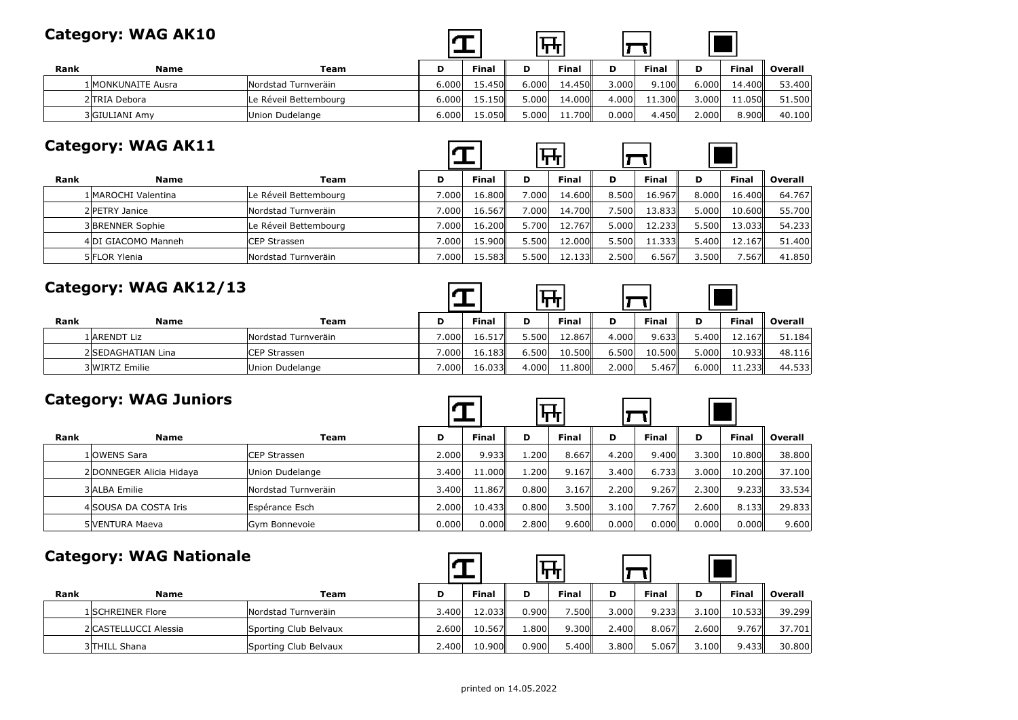|      | Category: WAG AK10 |                       |       |              |       |              |       |              |       |              |         |
|------|--------------------|-----------------------|-------|--------------|-------|--------------|-------|--------------|-------|--------------|---------|
| Rank | Name               | Team                  | D     | <b>Final</b> |       | <b>Final</b> | D     | <b>Final</b> | D     | <b>Final</b> | Overall |
|      | 1 MONKUNAITE Ausra | Nordstad Turnveräin   | 6.000 | 15.450       | 6.000 | 14.450       | 3.000 | 9.100        | 6.000 | 14.400       | 53,400  |
|      | 2 TRIA Debora      | Le Réveil Bettembourg | 6.000 | 15.150       | 5.000 | 14.000       | 4.000 | 11.300       | 3.000 | 11.050       | 51.500  |
|      | 3 GIULIANI Amv     | Union Dudelange       | 6.000 | 15.050       | 5.000 | 11.700       | 0.000 | 4.450        | 2.000 | 8.900        | 40.100  |

|      | <b>Category: WAG AK11</b> |                       |                    |        |       | $\mathbf{r}$ |       |        |       |              |         |
|------|---------------------------|-----------------------|--------------------|--------|-------|--------------|-------|--------|-------|--------------|---------|
| Rank | <b>Name</b>               | Team                  | D                  | Final  | D     | Final        | D     | Final  | D     | <b>Final</b> | Overall |
|      | 1 MAROCHI Valentina       | Le Réveil Bettembourg | 7.000              | 16.800 | 7.000 | 14.600       | 8.500 | 16.967 | 8.000 | 16.400       | 64.767  |
|      | 2 PETRY Janice            | Nordstad Turnveräin   | 7.000              | 16.567 | 7.000 | 14.700       | 7.500 | 13.833 | 5.000 | 10.600       | 55.700  |
|      | 3 BRENNER Sophie          | Le Réveil Bettembourg | 7.000              | 16.200 | 5.700 | 12.767       | 5.000 | 12.233 | 5.500 | 13.033       | 54.233  |
|      | 4DI GIACOMO Manneh        | CEP Strassen          | 7.000              | 15.900 | 5.500 | 12.000       | 5.500 | 11.333 | 5.400 | 12.167       | 51.400  |
|      | 5 FLOR Ylenia             | Nordstad Turnveräin   | 7.000 <sub>1</sub> | 15.583 | 5.500 | 12.133       | 2.500 | 6.567  | 3.500 | 7.567        | 41.850  |

| Category: WAG AK12/13 |                    |                     |       |              |       |        |       |              |       |              |         |
|-----------------------|--------------------|---------------------|-------|--------------|-------|--------|-------|--------------|-------|--------------|---------|
| Rank                  | <b>Name</b>        | Team                | D     | <b>Final</b> | D     | Final  | D     | <b>Final</b> | D     | <b>Final</b> | Overall |
|                       | 1 ARENDT Liz       | Nordstad Turnveräin | 7.000 | 16.517       | 5.500 | 12.867 | 4.000 | 9.633        | 5.400 | 12.167       | 51.184  |
|                       | 2 SEDAGHATIAN Lina | CEP Strassen        | 7.000 | 16.183       | 6.500 | 10.500 | 6.500 | 10.500       | 5.000 | 10.933       | 48.116  |
|                       | 3 WIRTZ Emilie     | Union Dudelange     | 7.000 | 16.033       | 4.000 | 11.800 | 2.000 | 5.467        | 6.000 | 11.233       | 44.533  |

 $\Box$ 

 $\overline{a}$  $\overline{\phantom{0}}$ 

-

| <b>Category: WAG Juniors</b> |  |
|------------------------------|--|
|------------------------------|--|

|      | <b>Category: WAG Juniors</b> |                     |       |              |       | पाग          |       |              |       |              |         |
|------|------------------------------|---------------------|-------|--------------|-------|--------------|-------|--------------|-------|--------------|---------|
| Rank | <b>Name</b>                  | Team                | D     | <b>Final</b> | D     | <b>Final</b> | D     | <b>Final</b> | D     | <b>Final</b> | Overall |
|      | 1 OWENS Sara                 | CEP Strassen        | 2.000 | 9.933        | 1.200 | 8.667        | 4.200 | 9.400        | 3.300 | 10.800       | 38,800  |
|      | 2 DONNEGER Alicia Hidaya     | Union Dudelange     | 3.400 | 11.000       | 1.200 | 9.167        | 3.400 | 6.733        | 3.000 | 10.200       | 37.100  |
|      | 3 ALBA Emilie                | Nordstad Turnveräin | 3.400 | 11.867       | 0.800 | 3.167        | 2.200 | 9.267        | 2.300 | 9.233        | 33.534  |
|      | 4 SOUSA DA COSTA Iris        | Espérance Esch      | 2.000 | 10.433       | 0.800 | 3.500        | 3.100 | 7.767        | 2.600 | 8.133        | 29.833  |
|      | 5 VENTURA Maeva              | Gym Bonnevoie       | 0.000 | 0.000        | 2.800 | 9.600        | 0.000 | 0.000        | 0.000 | 0.000        | 9.600   |

#### **Category: WAG Nationale**

|      | Category. WAS Nationale |                       |       |              |       |              |       |       |       |              |         |
|------|-------------------------|-----------------------|-------|--------------|-------|--------------|-------|-------|-------|--------------|---------|
| Rank | <b>Name</b>             | Team                  | D     | <b>Final</b> | D     | <b>Final</b> | D     | Final | D     | <b>Final</b> | Overall |
|      | 1 SCHREINER Flore       | Nordstad Turnveräin   | 3.400 | 12.033       | 0.900 | 7.500        | 3.000 | 9.233 | 3.100 | 10.533       | 39.299  |
|      | 2 CASTELLUCCI Alessia   | Sporting Club Belvaux | 2.600 | 10.567       | 1.800 | 9.300        | 2.400 | 8.067 | 2.600 | 9.767        | 37.701  |
|      | 3 THILL Shana           | Sporting Club Belvaux | 2.400 | 10.900       | 0.900 | 5.400        | 3.800 | 5.067 | 3.100 | 9.433        | 30,800  |

 $\blacksquare$ 

÷.